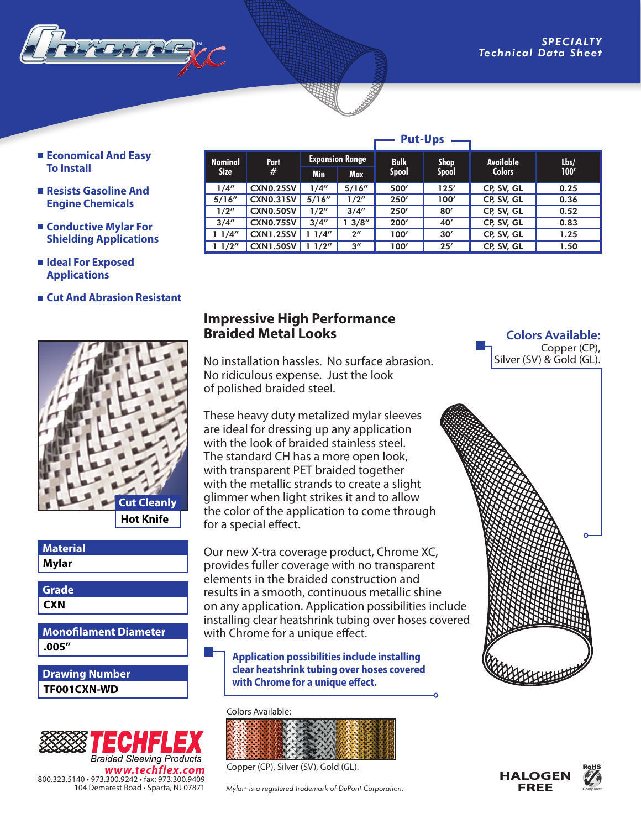

- **Economical And Easy To Install**
- **Resists Gasoline And Engine Chemicals**
- **Conductive Mylar For Shielding Applications**
- **Ideal For Exposed Applications**
- **Cut And Abrasion Resistant**



### **Material**

**Mylar**

**CXN Grade**

**.005" Monofilament Diameter**

**TF001CXN-WD Drawing Number**



| <b>Put-Ups</b> |                  |                        |                    |              |              |               |      |
|----------------|------------------|------------------------|--------------------|--------------|--------------|---------------|------|
| <b>Nominal</b> | Part<br>#        | <b>Expansion Range</b> |                    | <b>Bulk</b>  | <b>Shop</b>  | Available     | Lbs/ |
| <b>Size</b>    |                  | <b>Min</b>             | Max                | <b>Spool</b> | <b>Spool</b> | <b>Colors</b> | 100' |
| 1/4"           | <b>CXN0.25SV</b> | 1/4''                  | 5/16''             | 500'         | 125'         | CP, SV, GL    | 0.25 |
| 5/16''         | <b>CXN0.31SV</b> | 5/16''                 | 1/2"               | 250'         | 100'         | CP, SV, GL    | 0.36 |
| 1/2"           | <b>CXN0.50SV</b> | 1/2"                   | 3/4''              | 250'         | 80'          | CP, SV, GL    | 0.52 |
| 3/4''          | <b>CXN0.75SV</b> | 3/4''                  | 13/8''             | 200'         | 40'          | CP, SV, GL    | 0.83 |
| 11/4"          | <b>CXN1.25SV</b> | 11/4"                  | $2^{\prime\prime}$ | 100'         | 30'          | CP, SV, GL    | 1.25 |
| 11/2"          | <b>CXN1.50SV</b> | 1/2"                   | $3^{\prime\prime}$ | 100'         | 25'          | CP, SV, GL    | 1.50 |

### **Impressive High Performance Braided Metal Looks**

No installation hassles. No surface abrasion. No ridiculous expense. Just the look of polished braided steel.

These heavy duty metalized mylar sleeves are ideal for dressing up any application with the look of braided stainless steel. The standard CH has a more open look, with transparent PET braided together with the metallic strands to create a slight glimmer when light strikes it and to allow the color of the application to come through for a special effect.

Our new X-tra coverage product, Chrome XC, provides fuller coverage with no transparent elements in the braided construction and results in a smooth, continuous metallic shine on any application. Application possibilities include installing clear heatshrink tubing over hoses covered with Chrome for a unique effect.

**Application possibilities include installing clear heatshrink tubing over hoses covered with Chrome for a unique effect.**

#### Colors Available:



Copper (CP), Silver (SV), Gold (GL).

*Mylar® is a registered trademark of DuPont Corporation.*

#### **Colors Available:**  Copper (CP), Silver (SV) & Gold (GL).